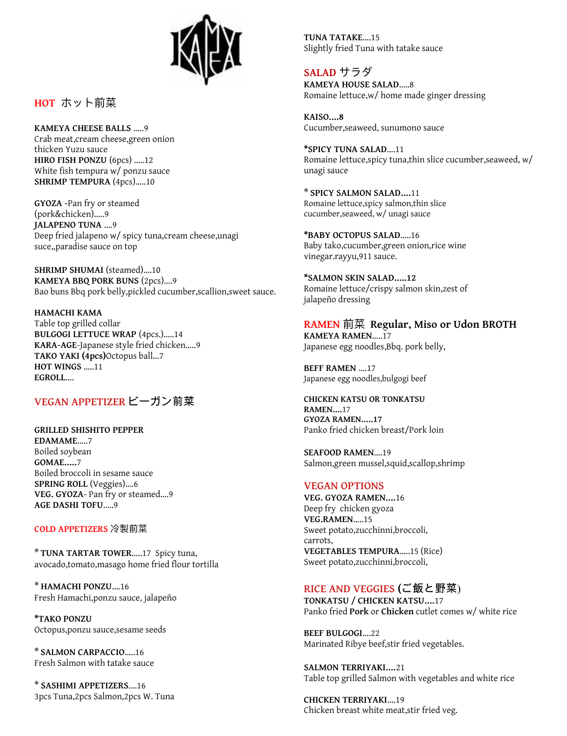

**HOT** ホット前菜

**KAMEYA CHEESE BALLS** …..9 Crab meat,cream cheese,green onion thicken Yuzu sauce **HIRO FISH PONZU** (6pcs) …..12 White fish tempura w/ ponzu sauce **SHRIMP TEMPURA** (4pcs)…..10

**GYOZA -**Pan fry or steamed (pork&chicken)…..9 **JALAPENO TUNA** ….9 Deep fried jalapeno w/ spicy tuna,cream cheese,unagi suce,,paradise sauce on top

**SHRIMP SHUMAI** (steamed)....10 **KAMEYA BBQ PORK BUNS** (2pcs)….9 Bao buns Bbq pork belly,pickled cucumber,scallion,sweet sauce.

**HAMACHI KAMA** Table top grilled collar **BULGOGI LETTUCE WRAP** (4pcs.)…..14 **KARA-AGE**-Japanese style fried chicken…..9 **TAKO YAKI (4pcs)**Octopus ball...7 **HOT WINGS** …..11 **EGROLL**….

## **VEGAN APPETIZER** ビーガン前菜

**GRILLED SHISHITO PEPPER EDAMAME**…..7 Boiled soybean **GOMAE…..**7 Boiled broccoli in sesame sauce **SPRING ROLL** (Veggies)….6 **VEG. GYOZA**- Pan fry or steamed….9 **AGE DASHI TOFU**…..9

 **COLD APPETIZERS** 冷製前菜

\* **TUNA TARTAR TOWER**…..17 Spicy tuna, avocado,tomato,masago home fried flour tortilla

\* **HAMACHI PONZU**….16 Fresh Hamachi,ponzu sauce, jalapeño

**\*TAKO PONZU** Octopus,ponzu sauce,sesame seeds

\* **SALMON CARPACCIO**…..16 Fresh Salmon with tatake sauce

\* **SASHIMI APPETIZERS**….16 3pcs Tuna,2pcs Salmon,2pcs W. Tuna **TUNA TATAKE**….15 Slightly fried Tuna with tatake sauce

 **SALAD** サラダ **KAMEYA HOUSE SALAD**…..8 Romaine lettuce,w/ home made ginger dressing

**KAISO….8**  Cucumber,seaweed, sunumono sauce

**\*SPICY TUNA SALAD**….11 Romaine lettuce,spicy tuna,thin slice cucumber,seaweed, w/ unagi sauce

\* **SPICY SALMON SALAD….**11 Romaine lettuce,spicy salmon,thin slice cucumber,seaweed, w/ unagi sauce

**\*BABY OCTOPUS SALAD**…..16 Baby tako,cucumber,green onion,rice wine vinegar.rayyu,911 sauce.

**\*SALMON SKIN SALAD…..12** Romaine lettuce/crispy salmon skin,zest of jalapeño dressing

 **RAMEN** 前菜 **Regular, Miso or Udon BROTH KAMEYA RAMEN**…..17 Japanese egg noodles,Bbq. pork belly,

**BEFF RAMEN** ….17 Japanese egg noodles,bulgogi beef

**CHICKEN KATSU OR TONKATSU RAMEN….**17 **GYOZA RAMEN…..17** Panko fried chicken breast/Pork loin

**SEAFOOD RAMEN**….19 Salmon,green mussel,squid,scallop,shrimp

#### **VEGAN OPTIONS**

**VEG. GYOZA RAMEN….**16 Deep fry chicken gyoza **VEG.RAMEN**…..15 Sweet potato,zucchinni,broccoli, carrots, **VEGETABLES TEMPURA**…..15 (Rice) Sweet potato,zucchinni,broccoli,

## **RICE AND VEGGIES (**ご飯と野菜)

**TONKATSU / CHICKEN KATSU….**17 Panko fried **Pork** or **Chicken** cutlet comes w/ white rice

**BEEF BULGOGI**….22 Marinated Ribye beef,stir fried vegetables.

**SALMON TERRIYAKI….**21 Table top grilled Salmon with vegetables and white rice

**CHICKEN TERRIYAKI**….19 Chicken breast white meat,stir fried veg.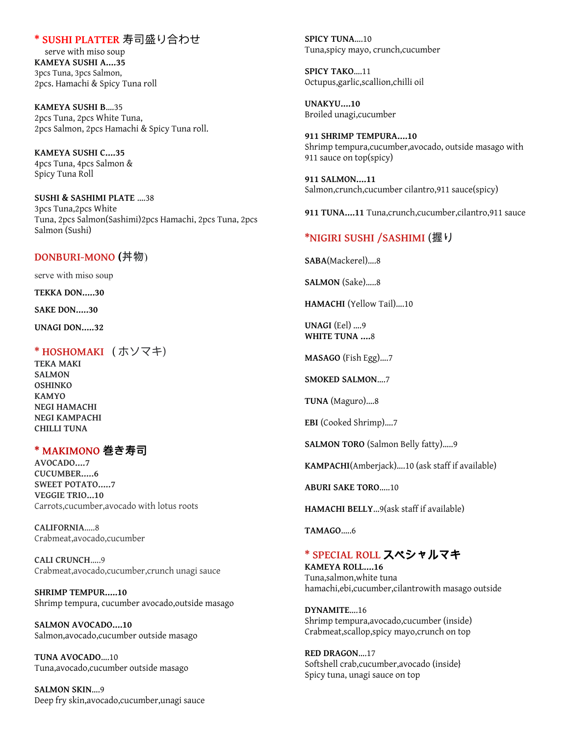## **\* SUSHI PLATTER** 寿司盛り合わせ

 serve with miso soup **KAMEYA SUSHI A….35** 3pcs Tuna, 3pcs Salmon, 2pcs. Hamachi & Spicy Tuna roll

**KAMEYA SUSHI B**….35 2pcs Tuna, 2pcs White Tuna, 2pcs Salmon, 2pcs Hamachi & Spicy Tuna roll.

**KAMEYA SUSHI C….35** 4pcs Tuna, 4pcs Salmon & Spicy Tuna Roll

**SUSHI & SASHIMI PLATE** ….38 3pcs Tuna,2pcs White Tuna, 2pcs Salmon(Sashimi) 2pcs Hamachi, 2pcs Tuna, 2pcs Salmon (Sushi)

#### **DONBURI-MONO** (丼物)

serve with miso soup

**TEKKA DON…..30**

**SAKE DON…..30**

 **UNAGI DON….. 32**

#### **\* HOSHOMAKI** ( ホソマキ)

**TEKA MAKI SALMON OSHINKO KAMYO NEGI HAMACHI NEGI KAMPACHI CHILLI TUNA**

#### **\* MAKI MONO 巻き寿司**

**AVOCADO….7 CUCUMBER…..6 SWEET POTATO…..7 VEGGIE TRIO...10** Carrots,cucumber,avocado with lotus roots

**CALIFORNIA**…..8 Crabmeat,avocado,cucumber

**CALI CRUNCH**…..9 Crabmeat,avocado,cucumber,crunch unagi sauce

**SHRIMP TEMPUR…..10** Shrimp tempura, cucumber avocado,outside masago

**SALMON AVOCADO….10** Salmon,avocado,cucumber outside masago

**TUNA AVOCADO**….10 Tuna,avocado,cucumber outside masago

**SALMON SKIN**….9 Deep fry skin,avocado,cucumber,unagi sauce **SPICY TUNA**….10 Tuna,spicy mayo, crunch,cucumber

**SPICY TAKO**….11 Octupus,garlic,scallion,chilli oil

**UNAKYU….10** Broiled unagi,cucumber

**911 SHRIMP TEMPURA….10** Shrimp tempura,cucumber,avocado, outside masago with 911 sauce on top(spicy)

**911 SALMON….11** Salmon,crunch,cucumber cilantro,911 sauce(spicy)

**911 TUNA….11** Tuna,crunch,cucumber,cilantro,911 sauce

#### **\*NIGIRI SUSHI /SASHIMI** (握り

**SABA**(Mackerel)….8

**SALMON** (Sake)…..8

**HAMACHI** (Yellow Tail)….10

**UNAGI** (Eel) ….9 **WHITE TUNA ….**8

**MASAGO** (Fish Egg)….7

**SMOKED SALMON**….7

**TUNA** (Maguro)….8

**EBI** (Cooked Shrimp)….7

**SALMON TORO** (Salmon Belly fatty)…..9

**KAMPACHI**(Amberjack)….10 (ask staff if available)

**ABURI SAKE TORO**…..10

**HAMACHI BELLY** ...9(ask staff if available)

**TAMAGO.....6** 

## **\* SPECIAL ROLL** スペシャルマキ

**KAMEYA ROLL….16** Tuna,salmon,white tuna hamachi,ebi,cucumber,cilantrowith masago outside

**DYNAMITE**….16 Shrimp tempura,avocado,cucumber (inside) Crabmeat,scallop,spicy mayo,crunch on top

**RED DRAGON**….17 Softshell crab,cucumber,avocado (inside} Spicy tuna, unagi sauce on top